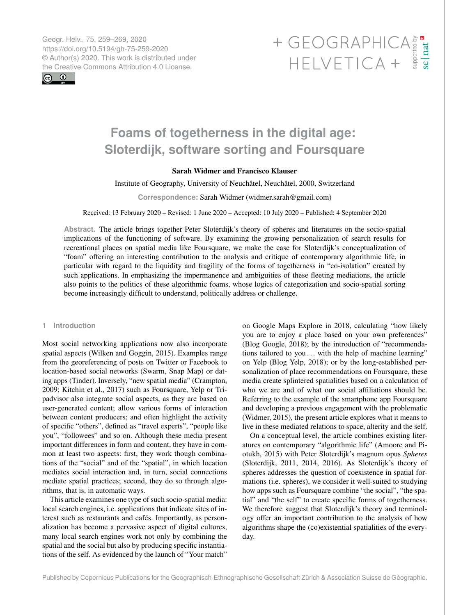Geogr. Helv., 75, 259–269, 2020 https://doi.org/10.5194/gh-75-259-2020 © Author(s) 2020. This work is distributed under



# Geogr. Helv., 75, 259–269, 2020<br>https://doi.org/10.5194/gh-75-259-2020<br>
© Author(s) 2020. This work is distributed under<br>
the Creative Commons Attribution 4.0 License.<br>
HELVETICA +

# **Foams of togetherness in the digital age: Sloterdijk, software sorting and Foursquare**

# Sarah Widmer and Francisco Klauser

Institute of Geography, University of Neuchâtel, Neuchâtel, 2000, Switzerland

**Correspondence:** Sarah Widmer (widmer.sarah@gmail.com)

Received: 13 February 2020 – Revised: 1 June 2020 – Accepted: 10 July 2020 – Published: 4 September 2020

**Abstract.** The article brings together Peter Sloterdijk's theory of spheres and literatures on the socio-spatial implications of the functioning of software. By examining the growing personalization of search results for recreational places on spatial media like Foursquare, we make the case for Sloterdijk's conceptualization of "foam" offering an interesting contribution to the analysis and critique of contemporary algorithmic life, in particular with regard to the liquidity and fragility of the forms of togetherness in "co-isolation" created by such applications. In emphasizing the impermanence and ambiguities of these fleeting mediations, the article also points to the politics of these algorithmic foams, whose logics of categorization and socio-spatial sorting become increasingly difficult to understand, politically address or challenge.

# **1 Introduction**

Most social networking applications now also incorporate spatial aspects (Wilken and Goggin, 2015). Examples range from the georeferencing of posts on Twitter or Facebook to location-based social networks (Swarm, Snap Map) or dating apps (Tinder). Inversely, "new spatial media" (Crampton, 2009; Kitchin et al., 2017) such as Foursquare, Yelp or Tripadvisor also integrate social aspects, as they are based on user-generated content; allow various forms of interaction between content producers; and often highlight the activity of specific "others", defined as "travel experts", "people like you", "followees" and so on. Although these media present important differences in form and content, they have in common at least two aspects: first, they work though combinations of the "social" and of the "spatial", in which location mediates social interaction and, in turn, social connections mediate spatial practices; second, they do so through algorithms, that is, in automatic ways.

This article examines one type of such socio-spatial media: local search engines, i.e. applications that indicate sites of interest such as restaurants and cafés. Importantly, as personalization has become a pervasive aspect of digital cultures, many local search engines work not only by combining the spatial and the social but also by producing specific instantiations of the self. As evidenced by the launch of "Your match"

on Google Maps Explore in 2018, calculating "how likely you are to enjoy a place based on your own preferences" (Blog Google, 2018); by the introduction of "recommendations tailored to you ... with the help of machine learning" on Yelp (Blog Yelp, 2018); or by the long-established personalization of place recommendations on Foursquare, these media create splintered spatialities based on a calculation of who we are and of what our social affiliations should be. Referring to the example of the smartphone app Foursquare and developing a previous engagement with the problematic (Widmer, 2015), the present article explores what it means to live in these mediated relations to space, alterity and the self.

On a conceptual level, the article combines existing literatures on contemporary "algorithmic life" (Amoore and Piotukh, 2015) with Peter Sloterdijk's magnum opus *Spheres* (Sloterdijk, 2011, 2014, 2016). As Sloterdijk's theory of spheres addresses the question of coexistence in spatial formations (i.e. spheres), we consider it well-suited to studying how apps such as Foursquare combine "the social", "the spatial" and "the self" to create specific forms of togetherness. We therefore suggest that Sloterdijk's theory and terminology offer an important contribution to the analysis of how algorithms shape the (co)existential spatialities of the everyday.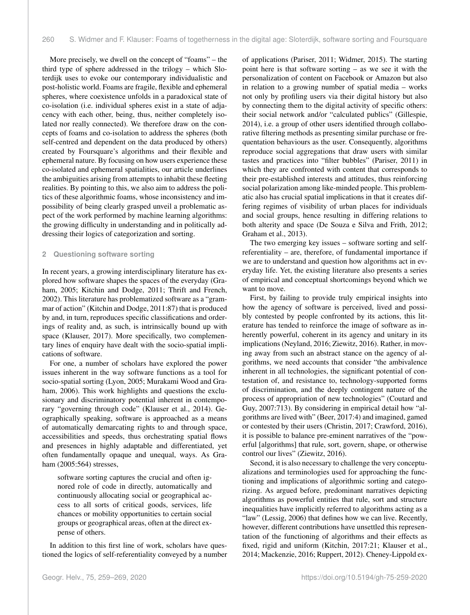More precisely, we dwell on the concept of "foams" – the third type of sphere addressed in the trilogy – which Sloterdijk uses to evoke our contemporary individualistic and post-holistic world. Foams are fragile, flexible and ephemeral spheres, where coexistence unfolds in a paradoxical state of co-isolation (i.e. individual spheres exist in a state of adjacency with each other, being, thus, neither completely isolated nor really connected). We therefore draw on the concepts of foams and co-isolation to address the spheres (both self-centred and dependent on the data produced by others) created by Foursquare's algorithms and their flexible and ephemeral nature. By focusing on how users experience these co-isolated and ephemeral spatialities, our article underlines the ambiguities arising from attempts to inhabit these fleeting realities. By pointing to this, we also aim to address the politics of these algorithmic foams, whose inconsistency and impossibility of being clearly grasped unveil a problematic aspect of the work performed by machine learning algorithms: the growing difficulty in understanding and in politically addressing their logics of categorization and sorting.

## **2 Questioning software sorting**

In recent years, a growing interdisciplinary literature has explored how software shapes the spaces of the everyday (Graham, 2005; Kitchin and Dodge, 2011; Thrift and French, 2002). This literature has problematized software as a "grammar of action" (Kitchin and Dodge, 2011:87) that is produced by and, in turn, reproduces specific classifications and orderings of reality and, as such, is intrinsically bound up with space (Klauser, 2017). More specifically, two complementary lines of enquiry have dealt with the socio-spatial implications of software.

For one, a number of scholars have explored the power issues inherent in the way software functions as a tool for socio-spatial sorting (Lyon, 2005; Murakami Wood and Graham, 2006). This work highlights and questions the exclusionary and discriminatory potential inherent in contemporary "governing through code" (Klauser et al., 2014). Geographically speaking, software is approached as a means of automatically demarcating rights to and through space, accessibilities and speeds, thus orchestrating spatial flows and presences in highly adaptable and differentiated, yet often fundamentally opaque and unequal, ways. As Graham (2005:564) stresses,

software sorting captures the crucial and often ignored role of code in directly, automatically and continuously allocating social or geographical access to all sorts of critical goods, services, life chances or mobility opportunities to certain social groups or geographical areas, often at the direct expense of others.

In addition to this first line of work, scholars have questioned the logics of self-referentiality conveyed by a number of applications (Pariser, 2011; Widmer, 2015). The starting point here is that software sorting – as we see it with the personalization of content on Facebook or Amazon but also in relation to a growing number of spatial media – works not only by profiling users via their digital history but also by connecting them to the digital activity of specific others: their social network and/or "calculated publics" (Gillespie, 2014), i.e. a group of other users identified through collaborative filtering methods as presenting similar purchase or frequentation behaviours as the user. Consequently, algorithms reproduce social aggregations that draw users with similar tastes and practices into "filter bubbles" (Pariser, 2011) in which they are confronted with content that corresponds to their pre-established interests and attitudes, thus reinforcing social polarization among like-minded people. This problematic also has crucial spatial implications in that it creates differing regimes of visibility of urban places for individuals and social groups, hence resulting in differing relations to both alterity and space (De Souza e Silva and Frith, 2012; Graham et al., 2013).

The two emerging key issues – software sorting and selfreferentiality – are, therefore, of fundamental importance if we are to understand and question how algorithms act in everyday life. Yet, the existing literature also presents a series of empirical and conceptual shortcomings beyond which we want to move.

First, by failing to provide truly empirical insights into how the agency of software is perceived, lived and possibly contested by people confronted by its actions, this literature has tended to reinforce the image of software as inherently powerful, coherent in its agency and unitary in its implications (Neyland, 2016; Ziewitz, 2016). Rather, in moving away from such an abstract stance on the agency of algorithms, we need accounts that consider "the ambivalence inherent in all technologies, the significant potential of contestation of, and resistance to, technology-supported forms of discrimination, and the deeply contingent nature of the process of appropriation of new technologies" (Coutard and Guy, 2007:713). By considering in empirical detail how "algorithms are lived with" (Beer, 2017:4) and imagined, gamed or contested by their users (Christin, 2017; Crawford, 2016), it is possible to balance pre-eminent narratives of the "powerful [algorithms] that rule, sort, govern, shape, or otherwise control our lives" (Ziewitz, 2016).

Second, it is also necessary to challenge the very conceptualizations and terminologies used for approaching the functioning and implications of algorithmic sorting and categorizing. As argued before, predominant narratives depicting algorithms as powerful entities that rule, sort and structure inequalities have implicitly referred to algorithms acting as a "law" (Lessig, 2006) that defines how we can live. Recently, however, different contributions have unsettled this representation of the functioning of algorithms and their effects as fixed, rigid and uniform (Kitchin, 2017:21; Klauser et al., 2014; Mackenzie, 2016; Ruppert, 2012). Cheney-Lippold ex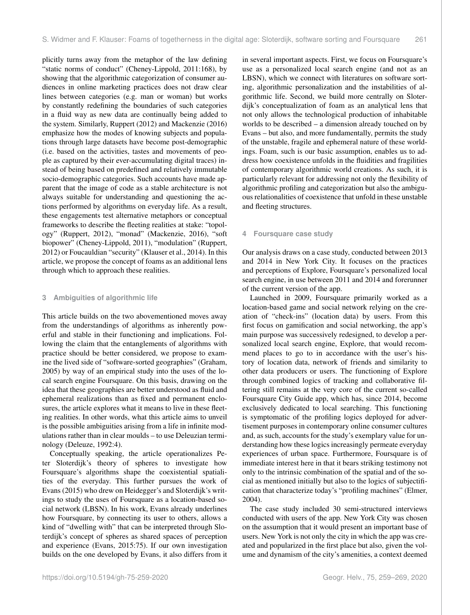plicitly turns away from the metaphor of the law defining "static norms of conduct" (Cheney-Lippold, 2011:168), by showing that the algorithmic categorization of consumer audiences in online marketing practices does not draw clear lines between categories (e.g. man or woman) but works by constantly redefining the boundaries of such categories in a fluid way as new data are continually being added to the system. Similarly, Ruppert (2012) and Mackenzie (2016) emphasize how the modes of knowing subjects and populations through large datasets have become post-demographic (i.e. based on the activities, tastes and movements of people as captured by their ever-accumulating digital traces) instead of being based on predefined and relatively immutable socio-demographic categories. Such accounts have made apparent that the image of code as a stable architecture is not always suitable for understanding and questioning the actions performed by algorithms on everyday life. As a result, these engagements test alternative metaphors or conceptual frameworks to describe the fleeting realities at stake: "topology" (Ruppert, 2012), "monad" (Mackenzie, 2016), "soft biopower" (Cheney-Lippold, 2011), "modulation" (Ruppert, 2012) or Foucauldian "security" (Klauser et al., 2014). In this article, we propose the concept of foams as an additional lens through which to approach these realities.

# **3 Ambiguities of algorithmic life**

This article builds on the two abovementioned moves away from the understandings of algorithms as inherently powerful and stable in their functioning and implications. Following the claim that the entanglements of algorithms with practice should be better considered, we propose to examine the lived side of "software-sorted geographies" (Graham, 2005) by way of an empirical study into the uses of the local search engine Foursquare. On this basis, drawing on the idea that these geographies are better understood as fluid and ephemeral realizations than as fixed and permanent enclosures, the article explores what it means to live in these fleeting realities. In other words, what this article aims to unveil is the possible ambiguities arising from a life in infinite modulations rather than in clear moulds – to use Deleuzian terminology (Deleuze, 1992:4).

Conceptually speaking, the article operationalizes Peter Sloterdijk's theory of spheres to investigate how Foursquare's algorithms shape the coexistential spatialities of the everyday. This further pursues the work of Evans (2015) who drew on Heidegger's and Sloterdijk's writings to study the uses of Foursquare as a location-based social network (LBSN). In his work, Evans already underlines how Foursquare, by connecting its user to others, allows a kind of "dwelling with" that can be interpreted through Sloterdijk's concept of spheres as shared spaces of perception and experience (Evans, 2015:75). If our own investigation builds on the one developed by Evans, it also differs from it in several important aspects. First, we focus on Foursquare's use as a personalized local search engine (and not as an LBSN), which we connect with literatures on software sorting, algorithmic personalization and the instabilities of algorithmic life. Second, we build more centrally on Sloterdijk's conceptualization of foam as an analytical lens that not only allows the technological production of inhabitable worlds to be described – a dimension already touched on by Evans – but also, and more fundamentally, permits the study of the unstable, fragile and ephemeral nature of these worldings. Foam, such is our basic assumption, enables us to address how coexistence unfolds in the fluidities and fragilities of contemporary algorithmic world creations. As such, it is particularly relevant for addressing not only the flexibility of algorithmic profiling and categorization but also the ambiguous relationalities of coexistence that unfold in these unstable and fleeting structures.

#### **4 Foursquare case study**

Our analysis draws on a case study, conducted between 2013 and 2014 in New York City. It focuses on the practices and perceptions of Explore, Foursquare's personalized local search engine, in use between 2011 and 2014 and forerunner of the current version of the app.

Launched in 2009, Foursquare primarily worked as a location-based game and social network relying on the creation of "check-ins" (location data) by users. From this first focus on gamification and social networking, the app's main purpose was successively redesigned, to develop a personalized local search engine, Explore, that would recommend places to go to in accordance with the user's history of location data, network of friends and similarity to other data producers or users. The functioning of Explore through combined logics of tracking and collaborative filtering still remains at the very core of the current so-called Foursquare City Guide app, which has, since 2014, become exclusively dedicated to local searching. This functioning is symptomatic of the profiling logics deployed for advertisement purposes in contemporary online consumer cultures and, as such, accounts for the study's exemplary value for understanding how these logics increasingly permeate everyday experiences of urban space. Furthermore, Foursquare is of immediate interest here in that it bears striking testimony not only to the intrinsic combination of the spatial and of the social as mentioned initially but also to the logics of subjectification that characterize today's "profiling machines" (Elmer, 2004).

The case study included 30 semi-structured interviews conducted with users of the app. New York City was chosen on the assumption that it would present an important base of users. New York is not only the city in which the app was created and popularized in the first place but also, given the volume and dynamism of the city's amenities, a context deemed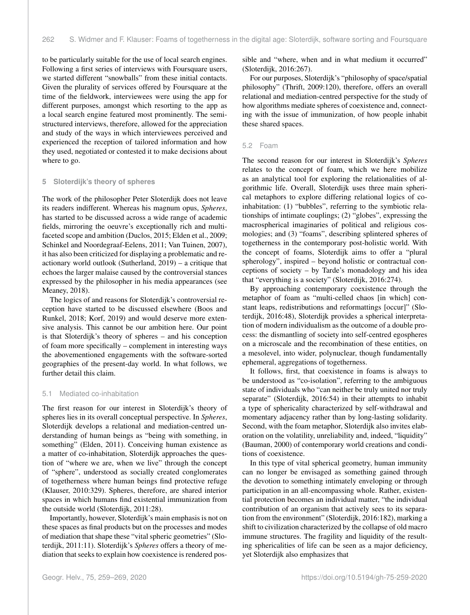to be particularly suitable for the use of local search engines. Following a first series of interviews with Foursquare users, we started different "snowballs" from these initial contacts. Given the plurality of services offered by Foursquare at the time of the fieldwork, interviewees were using the app for different purposes, amongst which resorting to the app as a local search engine featured most prominently. The semistructured interviews, therefore, allowed for the appreciation and study of the ways in which interviewees perceived and experienced the reception of tailored information and how they used, negotiated or contested it to make decisions about where to go.

#### **5 Sloterdijk's theory of spheres**

The work of the philosopher Peter Sloterdijk does not leave its readers indifferent. Whereas his magnum opus, *Spheres*, has started to be discussed across a wide range of academic fields, mirroring the oeuvre's exceptionally rich and multifaceted scope and ambition (Duclos, 2015; Elden et al., 2009; Schinkel and Noordegraaf-Eelens, 2011; Van Tuinen, 2007), it has also been criticized for displaying a problematic and reactionary world outlook (Sutherland, 2019) – a critique that echoes the larger malaise caused by the controversial stances expressed by the philosopher in his media appearances (see Meaney, 2018).

The logics of and reasons for Sloterdijk's controversial reception have started to be discussed elsewhere (Boos and Runkel, 2018; Korf, 2019) and would deserve more extensive analysis. This cannot be our ambition here. Our point is that Sloterdijk's theory of spheres – and his conception of foam more specifically – complement in interesting ways the abovementioned engagements with the software-sorted geographies of the present-day world. In what follows, we further detail this claim.

#### 5.1 Mediated co-inhabitation

The first reason for our interest in Sloterdijk's theory of spheres lies in its overall conceptual perspective. In *Spheres*, Sloterdijk develops a relational and mediation-centred understanding of human beings as "being with something, in something" (Elden, 2011). Conceiving human existence as a matter of co-inhabitation, Sloterdijk approaches the question of "where we are, when we live" through the concept of "sphere", understood as socially created conglomerates of togetherness where human beings find protective refuge (Klauser, 2010:329). Spheres, therefore, are shared interior spaces in which humans find existential immunization from the outside world (Sloterdijk, 2011:28).

Importantly, however, Sloterdijk's main emphasis is not on these spaces as final products but on the processes and modes of mediation that shape these "vital spheric geometries" (Sloterdijk, 2011:11). Sloterdijk's *Spheres* offers a theory of mediation that seeks to explain how coexistence is rendered possible and "where, when and in what medium it occurred" (Sloterdijk, 2016:267).

For our purposes, Sloterdijk's "philosophy of space/spatial philosophy" (Thrift, 2009:120), therefore, offers an overall relational and mediation-centred perspective for the study of how algorithms mediate spheres of coexistence and, connecting with the issue of immunization, of how people inhabit these shared spaces.

#### 5.2 Foam

The second reason for our interest in Sloterdijk's *Spheres* relates to the concept of foam, which we here mobilize as an analytical tool for exploring the relationalities of algorithmic life. Overall, Sloterdijk uses three main spherical metaphors to explore differing relational logics of coinhabitation: (1) "bubbles", referring to the symbiotic relationships of intimate couplings; (2) "globes", expressing the macrospherical imaginaries of political and religious cosmologies; and (3) "foams", describing splintered spheres of togetherness in the contemporary post-holistic world. With the concept of foams, Sloterdijk aims to offer a "plural spherology", inspired – beyond holistic or contractual conceptions of society – by Tarde's monadology and his idea that "everything is a society" (Sloterdijk, 2016:274).

By approaching contemporary coexistence through the metaphor of foam as "multi-celled chaos [in which] constant leaps, redistributions and reformattings [occur]" (Sloterdijk, 2016:48), Sloterdijk provides a spherical interpretation of modern individualism as the outcome of a double process: the dismantling of society into self-centred egospheres on a microscale and the recombination of these entities, on a mesolevel, into wider, polynuclear, though fundamentally ephemeral, aggregations of togetherness.

It follows, first, that coexistence in foams is always to be understood as "co-isolation", referring to the ambiguous state of individuals who "can neither be truly united nor truly separate" (Sloterdijk, 2016:54) in their attempts to inhabit a type of sphericality characterized by self-withdrawal and momentary adjacency rather than by long-lasting solidarity. Second, with the foam metaphor, Sloterdijk also invites elaboration on the volatility, unreliability and, indeed, "liquidity" (Bauman, 2000) of contemporary world creations and conditions of coexistence.

In this type of vital spherical geometry, human immunity can no longer be envisaged as something gained through the devotion to something intimately enveloping or through participation in an all-encompassing whole. Rather, existential protection becomes an individual matter, "the individual contribution of an organism that actively sees to its separation from the environment" (Sloterdijk, 2016:182), marking a shift to civilization characterized by the collapse of old macro immune structures. The fragility and liquidity of the resulting sphericalities of life can be seen as a major deficiency, yet Sloterdijk also emphasizes that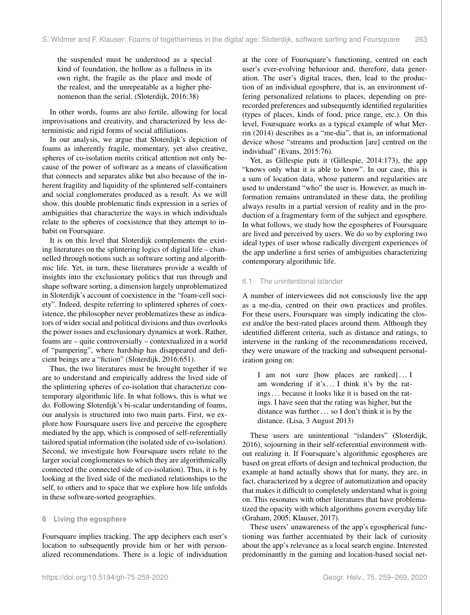the suspended must be understood as a special kind of foundation, the hollow as a fullness in its own right, the fragile as the place and mode of the realest, and the unrepeatable as a higher phenomenon than the serial. (Sloterdijk, 2016:38)

In other words, foams are also fertile, allowing for local improvisations and creativity, and characterized by less deterministic and rigid forms of social affiliations.

In our analysis, we argue that Sloterdijk's depiction of foams as inherently fragile, momentary, yet also creative, spheres of co-isolation merits critical attention not only because of the power of software as a means of classification that connects and separates alike but also because of the inherent fragility and liquidity of the splintered self-containers and social conglomerates produced as a result. As we will show, this double problematic finds expression in a series of ambiguities that characterize the ways in which individuals relate to the spheres of coexistence that they attempt to inhabit on Foursquare.

It is on this level that Sloterdijk complements the existing literatures on the splintering logics of digital life – channelled through notions such as software sorting and algorithmic life. Yet, in turn, these literatures provide a wealth of insights into the exclusionary politics that run through and shape software sorting, a dimension largely unproblematized in Sloterdijk's account of coexistence in the "foam-cell society". Indeed, despite referring to splintered spheres of coexistence, the philosopher never problematizes these as indicators of wider social and political divisions and thus overlooks the power issues and exclusionary dynamics at work. Rather, foams are – quite controversially – contextualized in a world of "pampering", where hardship has disappeared and deficient beings are a "fiction" (Sloterdijk, 2016:651).

Thus, the two literatures must be brought together if we are to understand and empirically address the lived side of the splintering spheres of co-isolation that characterize contemporary algorithmic life. In what follows, this is what we do. Following Sloterdijk's bi-scalar understanding of foams, our analysis is structured into two main parts. First, we explore how Foursquare users live and perceive the egosphere mediated by the app, which is composed of self-referentially tailored spatial information (the isolated side of co-isolation). Second, we investigate how Foursquare users relate to the larger social conglomerates to which they are algorithmically connected (the connected side of co-isolation). Thus, it is by looking at the lived side of the mediated relationships to the self, to others and to space that we explore how life unfolds in these software-sorted geographies.

#### **6 Living the egosphere**

Foursquare implies tracking. The app deciphers each user's location to subsequently provide him or her with personalized recommendations. There is a logic of individuation at the core of Foursquare's functioning, centred on each user's ever-evolving behaviour and, therefore, data generation. The user's digital traces, then, lead to the production of an individual egosphere, that is, an environment offering personalized relations to places, depending on prerecorded preferences and subsequently identified regularities (types of places, kinds of food, price range, etc.). On this level, Foursquare works as a typical example of what Merrin (2014) describes as a "me-dia", that is, an informational device whose "streams and production [are] centred on the individual" (Evans, 2015:76).

Yet, as Gillespie puts it (Gillespie, 2014:173), the app "knows only what it is able to know". In our case, this is a sum of location data, whose patterns and regularities are used to understand "who" the user is. However, as much information remains untranslated in these data, the profiling always results in a partial version of reality and in the production of a fragmentary form of the subject and egosphere. In what follows, we study how the egospheres of Foursquare are lived and perceived by users. We do so by exploring two ideal types of user whose radically divergent experiences of the app underline a first series of ambiguities characterizing contemporary algorithmic life.

# 6.1 The unintentional islander

A number of interviewees did not consciously live the app as a me-dia, centred on their own practices and profiles. For these users, Foursquare was simply indicating the closest and/or the best-rated places around them. Although they identified different criteria, such as distance and ratings, to intervene in the ranking of the recommendations received, they were unaware of the tracking and subsequent personalization going on:

I am not sure [how places are ranked]... I am wondering if it's ... I think it's by the ratings . . . because it looks like it is based on the ratings. I have seen that the rating was higher, but the distance was further . . . so I don't think it is by the distance. (Lisa, 3 August 2013)

These users are unintentional "islanders" (Sloterdijk, 2016), sojourning in their self-referential environment without realizing it. If Foursquare's algorithmic egospheres are based on great efforts of design and technical production, the example at hand actually shows that for many, they are, in fact, characterized by a degree of automatization and opacity that makes it difficult to completely understand what is going on. This resonates with other literatures that have problematized the opacity with which algorithms govern everyday life (Graham, 2005; Klauser, 2017).

These users' unawareness of the app's egospherical functioning was further accentuated by their lack of curiosity about the app's relevance as a local search engine. Interested predominantly in the gaming and location-based social net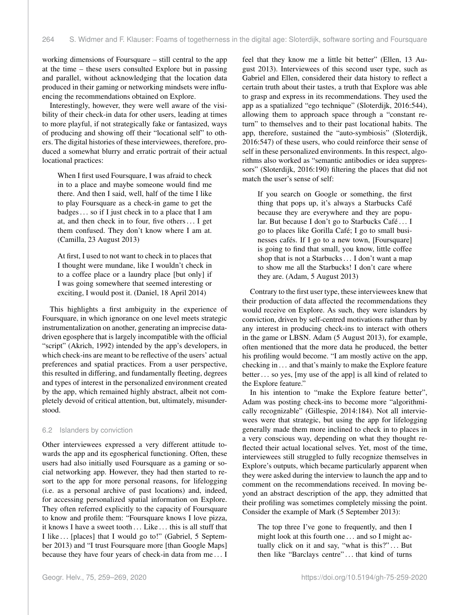working dimensions of Foursquare – still central to the app at the time – these users consulted Explore but in passing and parallel, without acknowledging that the location data produced in their gaming or networking mindsets were influencing the recommendations obtained on Explore.

Interestingly, however, they were well aware of the visibility of their check-in data for other users, leading at times to more playful, if not strategically fake or fantasized, ways of producing and showing off their "locational self" to others. The digital histories of these interviewees, therefore, produced a somewhat blurry and erratic portrait of their actual locational practices:

When I first used Foursquare, I was afraid to check in to a place and maybe someone would find me there. And then I said, well, half of the time I like to play Foursquare as a check-in game to get the badges . . . so if I just check in to a place that I am at, and then check in to four, five others . . . I get them confused. They don't know where I am at. (Camilla, 23 August 2013)

At first, I used to not want to check in to places that I thought were mundane, like I wouldn't check in to a coffee place or a laundry place [but only] if I was going somewhere that seemed interesting or exciting, I would post it. (Daniel, 18 April 2014)

This highlights a first ambiguity in the experience of Foursquare, in which ignorance on one level meets strategic instrumentalization on another, generating an imprecise datadriven egosphere that is largely incompatible with the official "script" (Akrich, 1992) intended by the app's developers, in which check-ins are meant to be reflective of the users' actual preferences and spatial practices. From a user perspective, this resulted in differing, and fundamentally fleeting, degrees and types of interest in the personalized environment created by the app, which remained highly abstract, albeit not completely devoid of critical attention, but, ultimately, misunderstood.

#### 6.2 Islanders by conviction

Other interviewees expressed a very different attitude towards the app and its egospherical functioning. Often, these users had also initially used Foursquare as a gaming or social networking app. However, they had then started to resort to the app for more personal reasons, for lifelogging (i.e. as a personal archive of past locations) and, indeed, for accessing personalized spatial information on Explore. They often referred explicitly to the capacity of Foursquare to know and profile them: "Foursquare knows I love pizza, it knows I have a sweet tooth ... Like ... this is all stuff that I like ... [places] that I would go to!" (Gabriel, 5 September 2013) and "I trust Foursquare more [than Google Maps] because they have four years of check-in data from me . . . I

feel that they know me a little bit better" (Ellen, 13 August 2013). Interviewees of this second user type, such as Gabriel and Ellen, considered their data history to reflect a certain truth about their tastes, a truth that Explore was able to grasp and express in its recommendations. They used the app as a spatialized "ego technique" (Sloterdijk, 2016:544), allowing them to approach space through a "constant return" to themselves and to their past locational habits. The app, therefore, sustained the "auto-symbiosis" (Sloterdijk, 2016:547) of these users, who could reinforce their sense of self in these personalized environments. In this respect, algorithms also worked as "semantic antibodies or idea suppressors" (Sloterdijk, 2016:190) filtering the places that did not match the user's sense of self:

If you search on Google or something, the first thing that pops up, it's always a Starbucks Café because they are everywhere and they are popular. But because I don't go to Starbucks Café . . . I go to places like Gorilla Café; I go to small businesses cafés. If I go to a new town, [Foursquare] is going to find that small, you know, little coffee shop that is not a Starbucks . . . I don't want a map to show me all the Starbucks! I don't care where they are. (Adam, 5 August 2013)

Contrary to the first user type, these interviewees knew that their production of data affected the recommendations they would receive on Explore. As such, they were islanders by conviction, driven by self-centred motivations rather than by any interest in producing check-ins to interact with others in the game or LBSN. Adam (5 August 2013), for example, often mentioned that the more data he produced, the better his profiling would become. "I am mostly active on the app, checking in . . . and that's mainly to make the Explore feature better . . . so yes, [my use of the app] is all kind of related to the Explore feature."

In his intention to "make the Explore feature better", Adam was posting check-ins to become more "algorithmically recognizable" (Gillespie, 2014:184). Not all interviewees were that strategic, but using the app for lifelogging generally made them more inclined to check in to places in a very conscious way, depending on what they thought reflected their actual locational selves. Yet, most of the time, interviewees still struggled to fully recognize themselves in Explore's outputs, which became particularly apparent when they were asked during the interview to launch the app and to comment on the recommendations received. In moving beyond an abstract description of the app, they admitted that their profiling was sometimes completely missing the point. Consider the example of Mark (5 September 2013):

The top three I've gone to frequently, and then I might look at this fourth one . . . and so I might actually click on it and say, "what is this?"... But then like "Barclays centre" . . . that kind of turns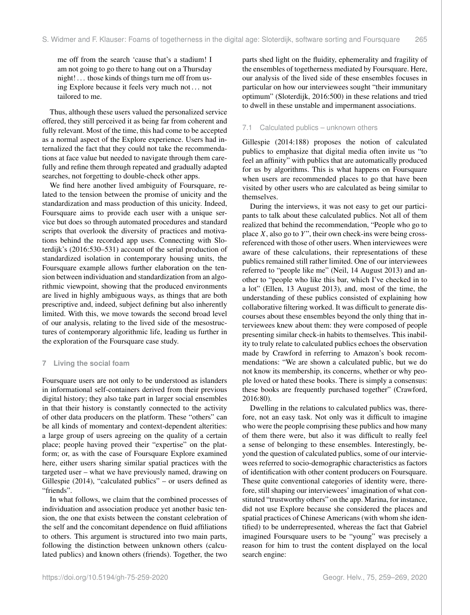me off from the search 'cause that's a stadium! I am not going to go there to hang out on a Thursday night!... those kinds of things turn me off from using Explore because it feels very much not . . . not tailored to me.

Thus, although these users valued the personalized service offered, they still perceived it as being far from coherent and fully relevant. Most of the time, this had come to be accepted as a normal aspect of the Explore experience. Users had internalized the fact that they could not take the recommendations at face value but needed to navigate through them carefully and refine them through repeated and gradually adapted searches, not forgetting to double-check other apps.

We find here another lived ambiguity of Foursquare, related to the tension between the promise of unicity and the standardization and mass production of this unicity. Indeed, Foursquare aims to provide each user with a unique service but does so through automated procedures and standard scripts that overlook the diversity of practices and motivations behind the recorded app uses. Connecting with Sloterdijk's (2016:530–531) account of the serial production of standardized isolation in contemporary housing units, the Foursquare example allows further elaboration on the tension between individuation and standardization from an algorithmic viewpoint, showing that the produced environments are lived in highly ambiguous ways, as things that are both prescriptive and, indeed, subject defining but also inherently limited. With this, we move towards the second broad level of our analysis, relating to the lived side of the mesostructures of contemporary algorithmic life, leading us further in the exploration of the Foursquare case study.

#### **7 Living the social foam**

Foursquare users are not only to be understood as islanders in informational self-containers derived from their previous digital history; they also take part in larger social ensembles in that their history is constantly connected to the activity of other data producers on the platform. These "others" can be all kinds of momentary and context-dependent alterities: a large group of users agreeing on the quality of a certain place; people having proved their "expertise" on the platform; or, as with the case of Foursquare Explore examined here, either users sharing similar spatial practices with the targeted user – what we have previously named, drawing on Gillespie (2014), "calculated publics" – or users defined as "friends".

In what follows, we claim that the combined processes of individuation and association produce yet another basic tension, the one that exists between the constant celebration of the self and the concomitant dependence on fluid affiliations to others. This argument is structured into two main parts, following the distinction between unknown others (calculated publics) and known others (friends). Together, the two

parts shed light on the fluidity, ephemerality and fragility of the ensembles of togetherness mediated by Foursquare. Here, our analysis of the lived side of these ensembles focuses in particular on how our interviewees sought "their immunitary optimum" (Sloterdijk, 2016:500) in these relations and tried to dwell in these unstable and impermanent associations.

## 7.1 Calculated publics – unknown others

Gillespie (2014:188) proposes the notion of calculated publics to emphasize that digital media often invite us "to feel an affinity" with publics that are automatically produced for us by algorithms. This is what happens on Foursquare when users are recommended places to go that have been visited by other users who are calculated as being similar to themselves.

During the interviews, it was not easy to get our participants to talk about these calculated publics. Not all of them realized that behind the recommendation, "People who go to place  $X$ , also go to  $Y$ ", their own check-ins were being crossreferenced with those of other users. When interviewees were aware of these calculations, their representations of these publics remained still rather limited. One of our interviewees referred to "people like me" (Neil, 14 August 2013) and another to "people who like this bar, which I've checked in to a lot" (Ellen, 13 August 2013), and, most of the time, the understanding of these publics consisted of explaining how collaborative filtering worked. It was difficult to generate discourses about these ensembles beyond the only thing that interviewees knew about them: they were composed of people presenting similar check-in habits to themselves. This inability to truly relate to calculated publics echoes the observation made by Crawford in referring to Amazon's book recommendations: "We are shown a calculated public, but we do not know its membership, its concerns, whether or why people loved or hated these books. There is simply a consensus: these books are frequently purchased together" (Crawford, 2016:80).

Dwelling in the relations to calculated publics was, therefore, not an easy task. Not only was it difficult to imagine who were the people comprising these publics and how many of them there were, but also it was difficult to really feel a sense of belonging to these ensembles. Interestingly, beyond the question of calculated publics, some of our interviewees referred to socio-demographic characteristics as factors of identification with other content producers on Foursquare. These quite conventional categories of identity were, therefore, still shaping our interviewees' imagination of what constituted "trustworthy others" on the app. Marina, for instance, did not use Explore because she considered the places and spatial practices of Chinese Americans (with whom she identified) to be underrepresented, whereas the fact that Gabriel imagined Foursquare users to be "young" was precisely a reason for him to trust the content displayed on the local search engine: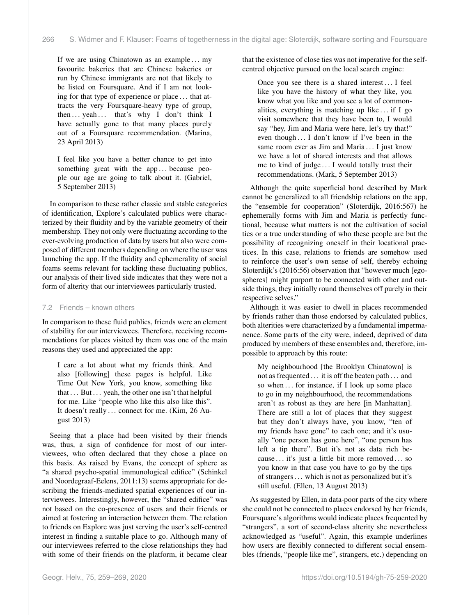If we are using Chinatown as an example  $\dots$  my favourite bakeries that are Chinese bakeries or run by Chinese immigrants are not that likely to be listed on Foursquare. And if I am not looking for that type of experience or place . . . that attracts the very Foursquare-heavy type of group, then ... yeah ... that's why I don't think I have actually gone to that many places purely out of a Foursquare recommendation. (Marina, 23 April 2013)

I feel like you have a better chance to get into something great with the app... because people our age are going to talk about it. (Gabriel, 5 September 2013)

In comparison to these rather classic and stable categories of identification, Explore's calculated publics were characterized by their fluidity and by the variable geometry of their membership. They not only were fluctuating according to the ever-evolving production of data by users but also were composed of different members depending on where the user was launching the app. If the fluidity and ephemerality of social foams seems relevant for tackling these fluctuating publics, our analysis of their lived side indicates that they were not a form of alterity that our interviewees particularly trusted.

#### 7.2 Friends – known others

In comparison to these fluid publics, friends were an element of stability for our interviewees. Therefore, receiving recommendations for places visited by them was one of the main reasons they used and appreciated the app:

I care a lot about what my friends think. And also [following] these pages is helpful. Like Time Out New York, you know, something like that . . . But . . . yeah, the other one isn't that helpful for me. Like "people who like this also like this". It doesn't really ... connect for me. (Kim, 26 August 2013)

Seeing that a place had been visited by their friends was, thus, a sign of confidence for most of our interviewees, who often declared that they chose a place on this basis. As raised by Evans, the concept of sphere as "a shared psycho-spatial immunological edifice" (Schinkel and Noordegraaf-Eelens, 2011:13) seems appropriate for describing the friends-mediated spatial experiences of our interviewees. Interestingly, however, the "shared edifice" was not based on the co-presence of users and their friends or aimed at fostering an interaction between them. The relation to friends on Explore was just serving the user's self-centred interest in finding a suitable place to go. Although many of our interviewees referred to the close relationships they had with some of their friends on the platform, it became clear

that the existence of close ties was not imperative for the selfcentred objective pursued on the local search engine:

Once you see there is a shared interest . . . I feel like you have the history of what they like, you know what you like and you see a lot of commonalities, everything is matching up like  $\ldots$  if I go visit somewhere that they have been to, I would say "hey, Jim and Maria were here, let's try that!" even though . . . I don't know if I've been in the same room ever as Jim and Maria ... I just know we have a lot of shared interests and that allows me to kind of judge . . . I would totally trust their recommendations. (Mark, 5 September 2013)

Although the quite superficial bond described by Mark cannot be generalized to all friendship relations on the app, the "ensemble for cooperation" (Sloterdijk, 2016:567) he ephemerally forms with Jim and Maria is perfectly functional, because what matters is not the cultivation of social ties or a true understanding of who these people are but the possibility of recognizing oneself in their locational practices. In this case, relations to friends are somehow used to reinforce the user's own sense of self, thereby echoing Sloterdijk's (2016:56) observation that "however much [egospheres] might purport to be connected with other and outside things, they initially round themselves off purely in their respective selves."

Although it was easier to dwell in places recommended by friends rather than those endorsed by calculated publics, both alterities were characterized by a fundamental impermanence. Some parts of the city were, indeed, deprived of data produced by members of these ensembles and, therefore, impossible to approach by this route:

My neighbourhood [the Brooklyn Chinatown] is not as frequented . . . it is off the beaten path . . . and so when ... for instance, if I look up some place to go in my neighbourhood, the recommendations aren't as robust as they are here [in Manhattan]. There are still a lot of places that they suggest but they don't always have, you know, "ten of my friends have gone" to each one; and it's usually "one person has gone here", "one person has left a tip there". But it's not as data rich because . . . it's just a little bit more removed . . . so you know in that case you have to go by the tips of strangers . . . which is not as personalized but it's still useful. (Ellen, 13 August 2013)

As suggested by Ellen, in data-poor parts of the city where she could not be connected to places endorsed by her friends, Foursquare's algorithms would indicate places frequented by "strangers", a sort of second-class alterity she nevertheless acknowledged as "useful". Again, this example underlines how users are flexibly connected to different social ensembles (friends, "people like me", strangers, etc.) depending on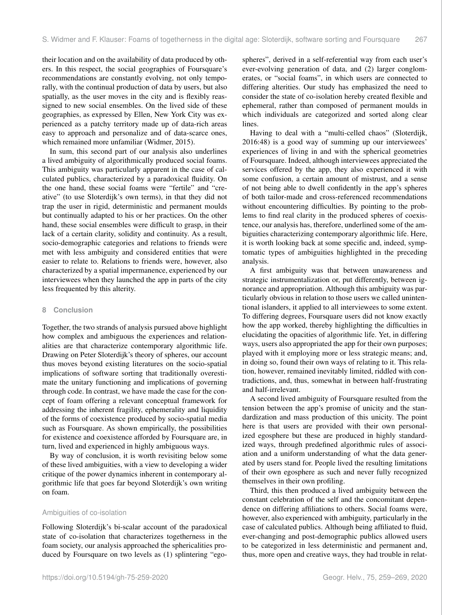their location and on the availability of data produced by others. In this respect, the social geographies of Foursquare's recommendations are constantly evolving, not only temporally, with the continual production of data by users, but also spatially, as the user moves in the city and is flexibly reassigned to new social ensembles. On the lived side of these geographies, as expressed by Ellen, New York City was experienced as a patchy territory made up of data-rich areas easy to approach and personalize and of data-scarce ones, which remained more unfamiliar (Widmer, 2015).

In sum, this second part of our analysis also underlines a lived ambiguity of algorithmically produced social foams. This ambiguity was particularly apparent in the case of calculated publics, characterized by a paradoxical fluidity. On the one hand, these social foams were "fertile" and "creative" (to use Sloterdijk's own terms), in that they did not trap the user in rigid, deterministic and permanent moulds but continually adapted to his or her practices. On the other hand, these social ensembles were difficult to grasp, in their lack of a certain clarity, solidity and continuity. As a result, socio-demographic categories and relations to friends were met with less ambiguity and considered entities that were easier to relate to. Relations to friends were, however, also characterized by a spatial impermanence, experienced by our interviewees when they launched the app in parts of the city less frequented by this alterity.

#### **8 Conclusion**

Together, the two strands of analysis pursued above highlight how complex and ambiguous the experiences and relationalities are that characterize contemporary algorithmic life. Drawing on Peter Sloterdijk's theory of spheres, our account thus moves beyond existing literatures on the socio-spatial implications of software sorting that traditionally overestimate the unitary functioning and implications of governing through code. In contrast, we have made the case for the concept of foam offering a relevant conceptual framework for addressing the inherent fragility, ephemerality and liquidity of the forms of coexistence produced by socio-spatial media such as Foursquare. As shown empirically, the possibilities for existence and coexistence afforded by Foursquare are, in turn, lived and experienced in highly ambiguous ways.

By way of conclusion, it is worth revisiting below some of these lived ambiguities, with a view to developing a wider critique of the power dynamics inherent in contemporary algorithmic life that goes far beyond Sloterdijk's own writing on foam.

#### Ambiguities of co-isolation

Following Sloterdijk's bi-scalar account of the paradoxical state of co-isolation that characterizes togetherness in the foam society, our analysis approached the sphericalities produced by Foursquare on two levels as (1) splintering "egospheres", derived in a self-referential way from each user's ever-evolving generation of data, and (2) larger conglomerates, or "social foams", in which users are connected to differing alterities. Our study has emphasized the need to consider the state of co-isolation hereby created flexible and ephemeral, rather than composed of permanent moulds in which individuals are categorized and sorted along clear lines.

Having to deal with a "multi-celled chaos" (Sloterdijk, 2016:48) is a good way of summing up our interviewees' experiences of living in and with the spherical geometries of Foursquare. Indeed, although interviewees appreciated the services offered by the app, they also experienced it with some confusion, a certain amount of mistrust, and a sense of not being able to dwell confidently in the app's spheres of both tailor-made and cross-referenced recommendations without encountering difficulties. By pointing to the problems to find real clarity in the produced spheres of coexistence, our analysis has, therefore, underlined some of the ambiguities characterizing contemporary algorithmic life. Here, it is worth looking back at some specific and, indeed, symptomatic types of ambiguities highlighted in the preceding analysis.

A first ambiguity was that between unawareness and strategic instrumentalization or, put differently, between ignorance and appropriation. Although this ambiguity was particularly obvious in relation to those users we called unintentional islanders, it applied to all interviewees to some extent. To differing degrees, Foursquare users did not know exactly how the app worked, thereby highlighting the difficulties in elucidating the opacities of algorithmic life. Yet, in differing ways, users also appropriated the app for their own purposes; played with it employing more or less strategic means; and, in doing so, found their own ways of relating to it. This relation, however, remained inevitably limited, riddled with contradictions, and, thus, somewhat in between half-frustrating and half-irrelevant.

A second lived ambiguity of Foursquare resulted from the tension between the app's promise of unicity and the standardization and mass production of this unicity. The point here is that users are provided with their own personalized egosphere but these are produced in highly standardized ways, through predefined algorithmic rules of association and a uniform understanding of what the data generated by users stand for. People lived the resulting limitations of their own egosphere as such and never fully recognized themselves in their own profiling.

Third, this then produced a lived ambiguity between the constant celebration of the self and the concomitant dependence on differing affiliations to others. Social foams were, however, also experienced with ambiguity, particularly in the case of calculated publics. Although being affiliated to fluid, ever-changing and post-demographic publics allowed users to be categorized in less deterministic and permanent and, thus, more open and creative ways, they had trouble in relat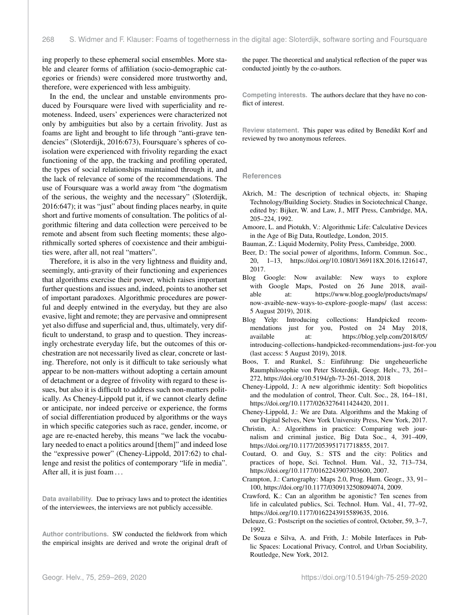ing properly to these ephemeral social ensembles. More stable and clearer forms of affiliation (socio-demographic categories or friends) were considered more trustworthy and, therefore, were experienced with less ambiguity.

In the end, the unclear and unstable environments produced by Foursquare were lived with superficiality and remoteness. Indeed, users' experiences were characterized not only by ambiguities but also by a certain frivolity. Just as foams are light and brought to life through "anti-grave tendencies" (Sloterdijk, 2016:673), Foursquare's spheres of coisolation were experienced with frivolity regarding the exact functioning of the app, the tracking and profiling operated, the types of social relationships maintained through it, and the lack of relevance of some of the recommendations. The use of Foursquare was a world away from "the dogmatism of the serious, the weighty and the necessary" (Sloterdijk, 2016:647); it was "just" about finding places nearby, in quite short and furtive moments of consultation. The politics of algorithmic filtering and data collection were perceived to be remote and absent from such fleeting moments; these algorithmically sorted spheres of coexistence and their ambiguities were, after all, not real "matters".

Therefore, it is also in the very lightness and fluidity and, seemingly, anti-gravity of their functioning and experiences that algorithms exercise their power, which raises important further questions and issues and, indeed, points to another set of important paradoxes. Algorithmic procedures are powerful and deeply entwined in the everyday, but they are also evasive, light and remote; they are pervasive and omnipresent yet also diffuse and superficial and, thus, ultimately, very difficult to understand, to grasp and to question. They increasingly orchestrate everyday life, but the outcomes of this orchestration are not necessarily lived as clear, concrete or lasting. Therefore, not only is it difficult to take seriously what appear to be non-matters without adopting a certain amount of detachment or a degree of frivolity with regard to these issues, but also it is difficult to address such non-matters politically. As Cheney-Lippold put it, if we cannot clearly define or anticipate, nor indeed perceive or experience, the forms of social differentiation produced by algorithms or the ways in which specific categories such as race, gender, income, or age are re-enacted hereby, this means "we lack the vocabulary needed to enact a politics around [them]" and indeed lose the "expressive power" (Cheney-Lippold, 2017:62) to challenge and resist the politics of contemporary "life in media". After all, it is just foam ...

**Data availability.** Due to privacy laws and to protect the identities of the interviewees, the interviews are not publicly accessible.

**Author contributions.** SW conducted the fieldwork from which the empirical insights are derived and wrote the original draft of the paper. The theoretical and analytical reflection of the paper was conducted jointly by the co-authors.

**Competing interests.** The authors declare that they have no conflict of interest.

**Review statement.** This paper was edited by Benedikt Korf and reviewed by two anonymous referees.

#### **References**

- Akrich, M.: The description of technical objects, in: Shaping Technology/Building Society. Studies in Sociotechnical Change, edited by: Bijker, W. and Law, J., MIT Press, Cambridge, MA, 205–224, 1992.
- Amoore, L. and Piotukh, V.: Algorithmic Life: Calculative Devices in the Age of Big Data, Routledge, London, 2015.
- Bauman, Z.: Liquid Modernity, Polity Press, Cambridge, 2000.
- Beer, D.: The social power of algorithms, Inform. Commun. Soc., 20, 1–13, https://doi.org[/10.1080/1369118X.2016.1216147,](https://doi.org/10.1080/1369118X.2016.1216147) 2017.
- Blog Google: Now available: New ways to explore with Google Maps, Posted on 26 June 2018, available at: [https://www.blog.google/products/maps/](https://www.blog.google/products/maps/now-avaible-new-ways-to-explore-google-maps/) [now-avaible-new-ways-to-explore-google-maps/](https://www.blog.google/products/maps/now-avaible-new-ways-to-explore-google-maps/) (last access: 5 August 2019), 2018.
- Blog Yelp: Introducing collections: Handpicked recommendations just for you, Posted on 24 May 2018, available at: [https://blog.yelp.com/2018/05/](https://blog.yelp.com/2018/05/introducing-collections-handpicked-recommendations-just-for-you) [introducing-collections-handpicked-recommendations-just-for-you](https://blog.yelp.com/2018/05/introducing-collections-handpicked-recommendations-just-for-you) (last access: 5 August 2019), 2018.
- Boos, T. and Runkel, S.: Einführung: Die ungeheuerliche Raumphilosophie von Peter Sloterdijk, Geogr. Helv., 73, 261– 272, https://doi.org[/10.5194/gh-73-261-2018,](https://doi.org/10.5194/gh-73-261-2018) 2018
- Cheney-Lippold, J.: A new algorithmic identity: Soft biopolitics and the modulation of control, Theor. Cult. Soc., 28, 164–181, https://doi.org[/10.1177/0263276411424420,](https://doi.org/10.1177/0263276411424420) 2011.
- Cheney-Lippold, J.: We are Data. Algorithms and the Making of our Digital Selves, New York University Press, New York, 2017.
- Christin, A.: Algorithms in practice: Comparing web journalism and criminal justice, Big Data Soc., 4, 391–409, https://doi.org[/10.1177/2053951717718855,](https://doi.org/10.1177/2053951717718855) 2017.
- Coutard, O. and Guy, S.: STS and the city: Politics and practices of hope, Sci. Technol. Hum. Val., 32, 713–734, https://doi.org[/10.1177/0162243907303600,](https://doi.org/10.1177/0162243907303600) 2007.
- Crampton, J.: Cartography: Maps 2.0, Prog. Hum. Geogr., 33, 91– 100, https://doi.org[/10.1177/0309132508094074,](https://doi.org/10.1177/0309132508094074) 2009.
- Crawford, K.: Can an algorithm be agonistic? Ten scenes from life in calculated publics, Sci. Technol. Hum. Val., 41, 77–92, https://doi.org[/10.1177/0162243915589635,](https://doi.org/10.1177/0162243915589635) 2016.
- Deleuze, G.: Postscript on the societies of control, October, 59, 3–7, 1992.
- De Souza e Silva, A. and Frith, J.: Mobile Interfaces in Public Spaces: Locational Privacy, Control, and Urban Sociability, Routledge, New York, 2012.